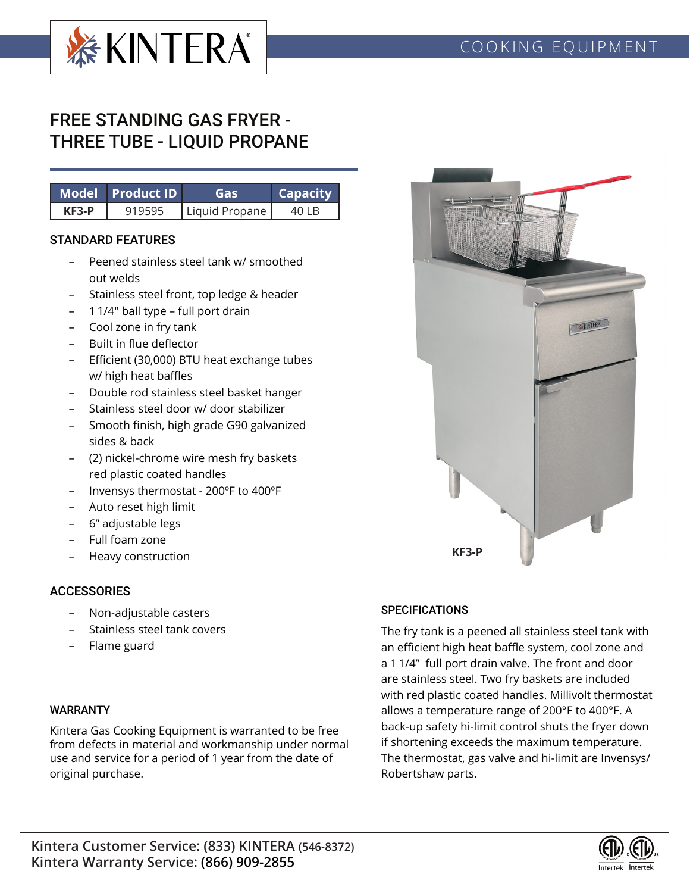

# FREE STANDING GAS FRYER - THREE TUBE - LIQUID PROPANE

|              | Model Product ID | Gas            | <b>Capacity</b> |  |  |
|--------------|------------------|----------------|-----------------|--|--|
| <b>KF3-P</b> | 919595           | Liquid Propane | 40 I B          |  |  |

#### STANDARD FEATURES

- Peened stainless steel tank w/ smoothed out welds
- Stainless steel front, top ledge & header
- 1 1/4" ball type full port drain
- Cool zone in fry tank
- Built in flue deflector
- Efficient (30,000) BTU heat exchange tubes w/ high heat baffles
- Double rod stainless steel basket hanger
- Stainless steel door w/ door stabilizer
- Smooth finish, high grade G90 galvanized sides & back
- (2) nickel-chrome wire mesh fry baskets red plastic coated handles
- Invensys thermostat 200ºF to 400ºF
- Auto reset high limit
- 6" adjustable legs
- Full foam zone
- Heavy construction

#### **ACCESSORIES**

- Non-adjustable casters
- Stainless steel tank covers
- Flame guard

#### WARRANTY

Kintera Gas Cooking Equipment is warranted to be free from defects in material and workmanship under normal use and service for a period of 1 year from the date of original purchase.

### **SPECIFICATIONS**

The fry tank is a peened all stainless steel tank with an efficient high heat baffle system, cool zone and a 1 1/4" full port drain valve. The front and door are stainless steel. Two fry baskets are included with red plastic coated handles. Millivolt thermostat allows a temperature range of 200°F to 400°F. A back-up safety hi-limit control shuts the fryer down if shortening exceeds the maximum temperature. The thermostat, gas valve and hi-limit are Invensys/ Robertshaw parts.